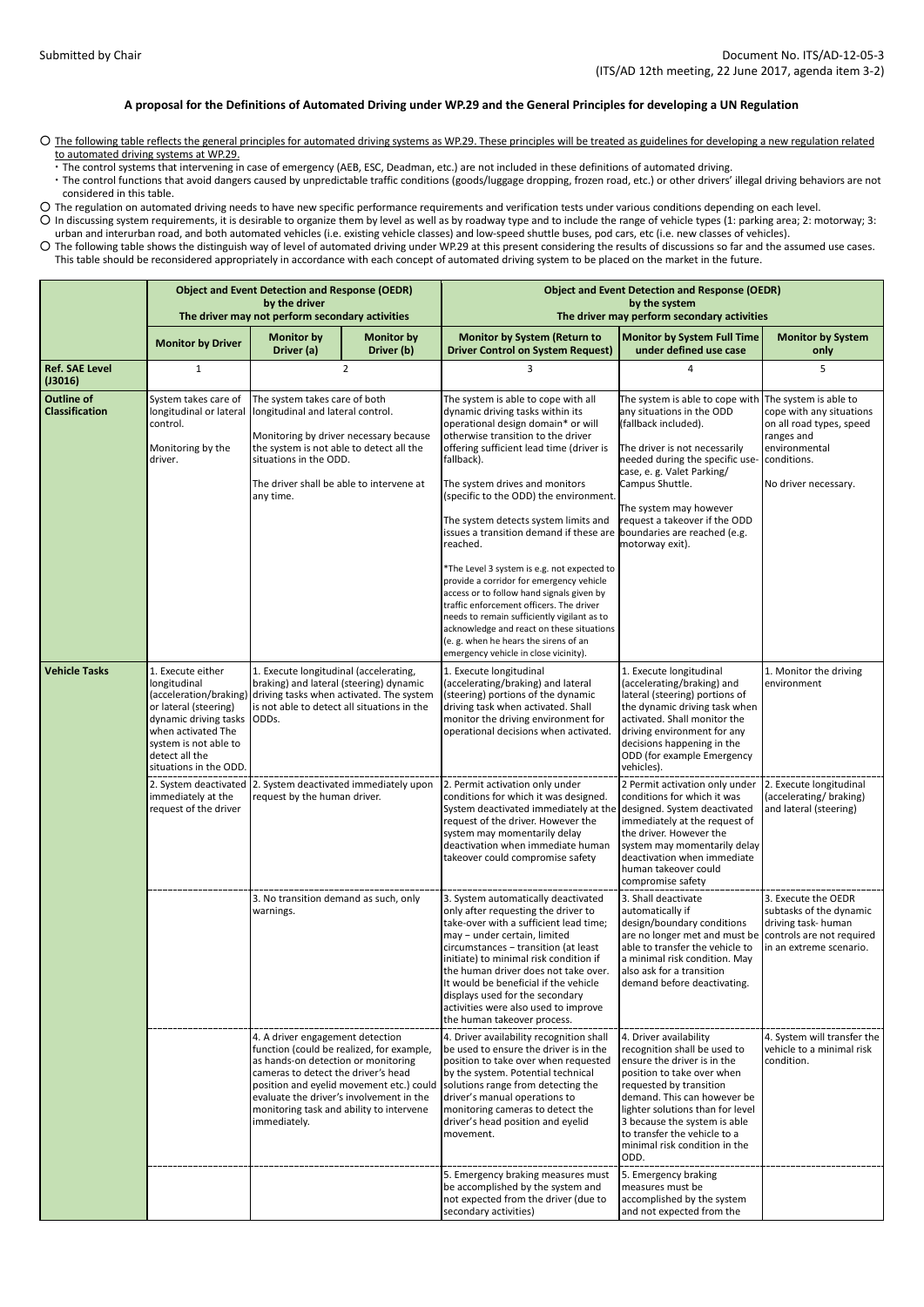## **A proposal for the Definitions of Automated Driving under WP.29 and the General Principles for developing a UN Regulation**

○ The following table reflects the general principles for automated driving systems as WP.29. These principles will be treated as guidelines for developing a new regulation related to automated driving systems at WP.29.

・The control systems that intervening in case of emergency (AEB, ESC, Deadman, etc.) are not included in these definitions of automated driving.

・The control functions that avoid dangers caused by unpredictable traffic conditions (goods/luggage dropping, frozen road, etc.) or other drivers' illegal driving behaviors are not considered in this table.

○ The regulation on automated driving needs to have new specific performance requirements and verification tests under various conditions depending on each level.

○ In discussing system requirements, it is desirable to organize them by level as well as by roadway type and to include the range of vehicle types (1: parking area; 2: motorway; 3: urban and interurban road, and both automated vehicles (i.e. existing vehicle classes) and low-speed shuttle buses, pod cars, etc (i.e. new classes of vehicles).

○ The following table shows the distinguish way of level of automated driving under WP.29 at this present considering the results of discussions so far and the assumed use cases. This table should be reconsidered appropriately in accordance with each concept of automated driving system to be placed on the market in the future.

|                                            | <b>Object and Event Detection and Response (OEDR)</b><br>by the driver<br>The driver may not perform secondary activities                                                                                                                                                                                                                                                                                   |                                                                                                                                                                                                                                                                                                                 |                                                                                                                                                                                                                                                                    | <b>Object and Event Detection and Response (OEDR)</b><br>by the system<br>The driver may perform secondary activities                                                                                                                                                                                                                                                                                                                                                                                                                                                                                                                                                                                             |                                                                                                                                                                                                                                                                                                                                               |                                                                                                                            |  |
|--------------------------------------------|-------------------------------------------------------------------------------------------------------------------------------------------------------------------------------------------------------------------------------------------------------------------------------------------------------------------------------------------------------------------------------------------------------------|-----------------------------------------------------------------------------------------------------------------------------------------------------------------------------------------------------------------------------------------------------------------------------------------------------------------|--------------------------------------------------------------------------------------------------------------------------------------------------------------------------------------------------------------------------------------------------------------------|-------------------------------------------------------------------------------------------------------------------------------------------------------------------------------------------------------------------------------------------------------------------------------------------------------------------------------------------------------------------------------------------------------------------------------------------------------------------------------------------------------------------------------------------------------------------------------------------------------------------------------------------------------------------------------------------------------------------|-----------------------------------------------------------------------------------------------------------------------------------------------------------------------------------------------------------------------------------------------------------------------------------------------------------------------------------------------|----------------------------------------------------------------------------------------------------------------------------|--|
|                                            | <b>Monitor by Driver</b>                                                                                                                                                                                                                                                                                                                                                                                    | <b>Monitor by</b><br>Driver (a)                                                                                                                                                                                                                                                                                 | <b>Monitor by</b><br>Driver (b)                                                                                                                                                                                                                                    | <b>Monitor by System (Return to</b><br><b>Driver Control on System Request)</b>                                                                                                                                                                                                                                                                                                                                                                                                                                                                                                                                                                                                                                   | <b>Monitor by System Full Time</b><br>under defined use case                                                                                                                                                                                                                                                                                  | <b>Monitor by System</b><br>only                                                                                           |  |
| <b>Ref. SAE Level</b><br>(J3016)           | $\mathbf{1}$                                                                                                                                                                                                                                                                                                                                                                                                | 2                                                                                                                                                                                                                                                                                                               |                                                                                                                                                                                                                                                                    | 3                                                                                                                                                                                                                                                                                                                                                                                                                                                                                                                                                                                                                                                                                                                 | 4                                                                                                                                                                                                                                                                                                                                             | 5                                                                                                                          |  |
| <b>Outline of</b><br><b>Classification</b> | System takes care of<br>longitudinal or lateral<br>control.<br>Monitoring by the<br>driver.                                                                                                                                                                                                                                                                                                                 | The system takes care of both<br>longitudinal and lateral control.<br>Monitoring by driver necessary because<br>the system is not able to detect all the<br>situations in the ODD.<br>The driver shall be able to intervene at<br>any time.                                                                     |                                                                                                                                                                                                                                                                    | The system is able to cope with all<br>dynamic driving tasks within its<br>operational design domain* or will<br>otherwise transition to the driver<br>offering sufficient lead time (driver is<br>fallback).<br>The system drives and monitors<br>(specific to the ODD) the environment.<br>The system detects system limits and<br>issues a transition demand if these are<br>reached.<br>*The Level 3 system is e.g. not expected to<br>provide a corridor for emergency vehicle<br>access or to follow hand signals given by<br>traffic enforcement officers. The driver<br>needs to remain sufficiently vigilant as to<br>acknowledge and react on these situations<br>(e. g. when he hears the sirens of an | The system is able to cope with The system is able to<br>any situations in the ODD<br>(fallback included).<br>The driver is not necessarily<br>needed during the specific use-<br>case, e. g. Valet Parking/<br>Campus Shuttle.<br>The system may however<br>request a takeover if the ODD<br>boundaries are reached (e.g.<br>motorway exit). | cope with any situations<br>on all road types, speed<br>ranges and<br>environmental<br>conditions.<br>No driver necessary. |  |
| <b>Vehicle Tasks</b>                       | 1. Execute either<br>1. Execute longitudinal (accelerating,<br>longitudinal<br>braking) and lateral (steering) dynamic<br>(acceleration/braking) driving tasks when activated. The system<br>is not able to detect all situations in the<br>or lateral (steering)<br>dynamic driving tasks<br>ODD <sub>S</sub> .<br>when activated The<br>system is not able to<br>detect all the<br>situations in the ODD. |                                                                                                                                                                                                                                                                                                                 | emergency vehicle in close vicinity).<br>1. Execute longitudinal<br>(accelerating/braking) and lateral<br>(steering) portions of the dynamic<br>driving task when activated. Shall<br>monitor the driving environment for<br>operational decisions when activated. | 1. Execute longitudinal<br>(accelerating/braking) and<br>lateral (steering) portions of<br>the dynamic driving task when<br>activated. Shall monitor the<br>driving environment for any<br>decisions happening in the<br>ODD (for example Emergency<br>vehicles).                                                                                                                                                                                                                                                                                                                                                                                                                                                 | 1. Monitor the driving<br>environment                                                                                                                                                                                                                                                                                                         |                                                                                                                            |  |
|                                            | immediately at the<br>request of the driver                                                                                                                                                                                                                                                                                                                                                                 | 2. System deactivated 2. System deactivated immediately upon<br>request by the human driver.                                                                                                                                                                                                                    |                                                                                                                                                                                                                                                                    | 2. Permit activation only under<br>conditions for which it was designed.<br>System deactivated immediately at the<br>request of the driver. However the<br>system may momentarily delay<br>deactivation when immediate human<br>takeover could compromise safety                                                                                                                                                                                                                                                                                                                                                                                                                                                  | 2 Permit activation only under<br>conditions for which it was<br>designed. System deactivated<br>immediately at the request of<br>the driver. However the<br>system may momentarily delay<br>deactivation when immediate<br>human takeover could<br>compromise safety                                                                         | 2. Execute longitudinal<br>(accelerating/braking)<br>and lateral (steering)                                                |  |
|                                            |                                                                                                                                                                                                                                                                                                                                                                                                             | 3. No transition demand as such, only<br>warnings.                                                                                                                                                                                                                                                              |                                                                                                                                                                                                                                                                    | 3. System automatically deactivated<br>only after requesting the driver to<br>take-over with a sufficient lead time;<br>may - under certain, limited<br>circumstances - transition (at least<br>initiate) to minimal risk condition if<br>the human driver does not take over.<br>It would be beneficial if the vehicle<br>displays used for the secondary<br>activities were also used to improve<br>the human takeover process.                                                                                                                                                                                                                                                                                 | 3. Shall deactivate<br>automatically if<br>design/boundary conditions<br>are no longer met and must be controls are not required<br>able to transfer the vehicle to<br>a minimal risk condition. May<br>also ask for a transition<br>demand before deactivating.                                                                              | 3. Execute the OEDR<br>subtasks of the dynamic<br>driving task-human<br>in an extreme scenario.                            |  |
|                                            |                                                                                                                                                                                                                                                                                                                                                                                                             | 4. A driver engagement detection<br>function (could be realized, for example,<br>as hands-on detection or monitoring<br>cameras to detect the driver's head<br>position and eyelid movement etc.) could<br>evaluate the driver's involvement in the<br>monitoring task and ability to intervene<br>immediately. |                                                                                                                                                                                                                                                                    | 4. Driver availability recognition shall<br>be used to ensure the driver is in the<br>position to take over when requested<br>by the system. Potential technical<br>solutions range from detecting the<br>driver's manual operations to<br>monitoring cameras to detect the<br>driver's head position and eyelid<br>movement.                                                                                                                                                                                                                                                                                                                                                                                     | 4. Driver availability<br>recognition shall be used to<br>ensure the driver is in the<br>position to take over when<br>requested by transition<br>demand. This can however be<br>lighter solutions than for level<br>3 because the system is able<br>to transfer the vehicle to a<br>minimal risk condition in the<br>ODD.                    | 4. System will transfer the<br>vehicle to a minimal risk<br>condition.                                                     |  |
|                                            |                                                                                                                                                                                                                                                                                                                                                                                                             |                                                                                                                                                                                                                                                                                                                 |                                                                                                                                                                                                                                                                    | 5. Emergency braking measures must<br>be accomplished by the system and<br>not expected from the driver (due to<br>secondary activities)                                                                                                                                                                                                                                                                                                                                                                                                                                                                                                                                                                          | 5. Emergency braking<br>measures must be<br>accomplished by the system<br>and not expected from the                                                                                                                                                                                                                                           |                                                                                                                            |  |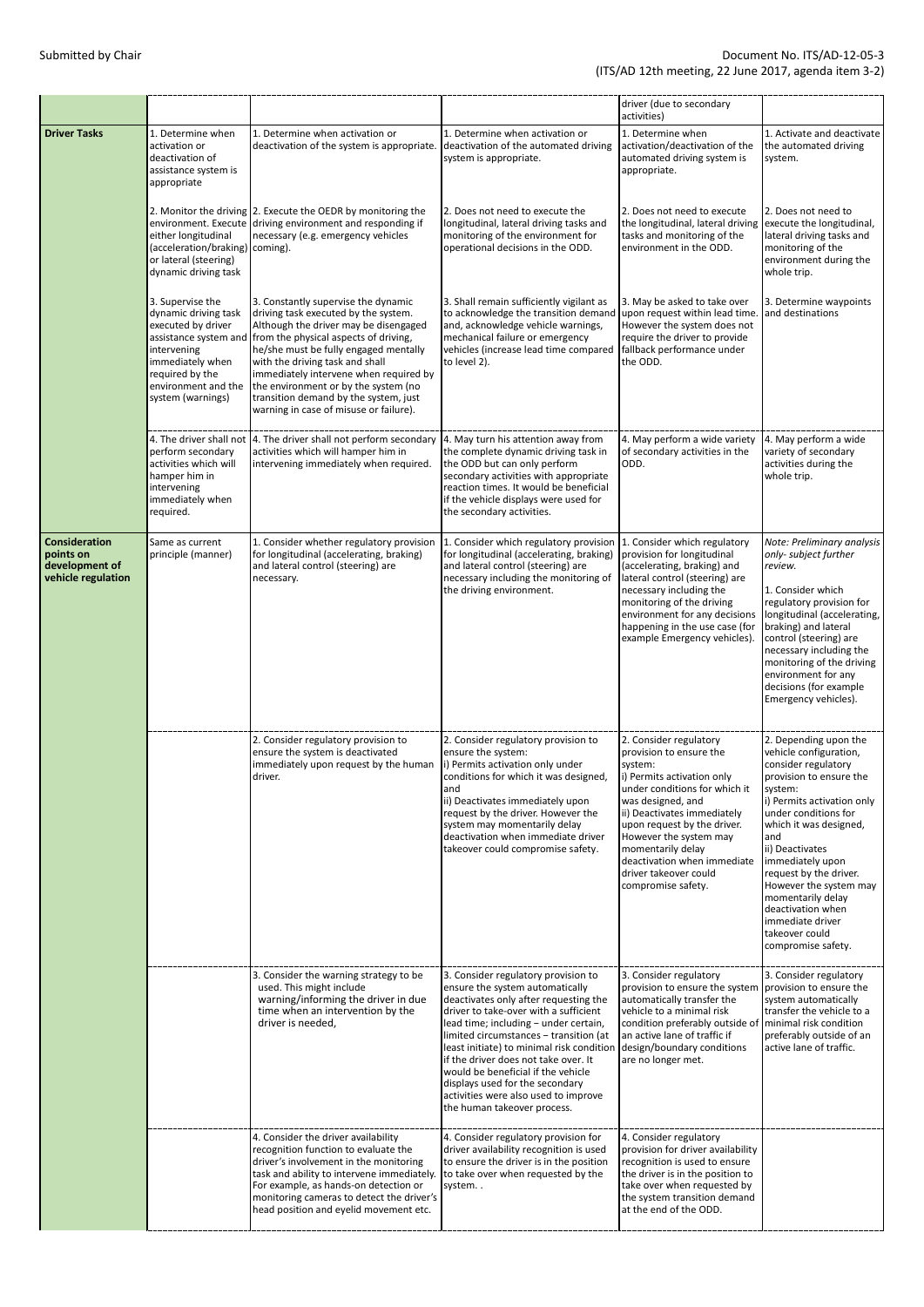|                                                                           |                                                                                                                                                                                           |                                                                                                                                                                                                                                                                                                                                                                                                                |                                                                                                                                                                                                                                                                                                                                                                                                                                                                                  | driver (due to secondary<br>activities)                                                                                                                                                                                                                                                                                                     |                                                                                                                                                                                                                                                                                                                                                                                                      |
|---------------------------------------------------------------------------|-------------------------------------------------------------------------------------------------------------------------------------------------------------------------------------------|----------------------------------------------------------------------------------------------------------------------------------------------------------------------------------------------------------------------------------------------------------------------------------------------------------------------------------------------------------------------------------------------------------------|----------------------------------------------------------------------------------------------------------------------------------------------------------------------------------------------------------------------------------------------------------------------------------------------------------------------------------------------------------------------------------------------------------------------------------------------------------------------------------|---------------------------------------------------------------------------------------------------------------------------------------------------------------------------------------------------------------------------------------------------------------------------------------------------------------------------------------------|------------------------------------------------------------------------------------------------------------------------------------------------------------------------------------------------------------------------------------------------------------------------------------------------------------------------------------------------------------------------------------------------------|
| <b>Driver Tasks</b>                                                       | 1. Determine when<br>activation or<br>deactivation of<br>assistance system is<br>appropriate                                                                                              | 1. Determine when activation or<br>deactivation of the system is appropriate.                                                                                                                                                                                                                                                                                                                                  | 1. Determine when activation or<br>deactivation of the automated driving<br>system is appropriate.                                                                                                                                                                                                                                                                                                                                                                               | 1. Determine when<br>activation/deactivation of the<br>automated driving system is<br>appropriate.                                                                                                                                                                                                                                          | 1. Activate and deactivate<br>the automated driving<br>system.                                                                                                                                                                                                                                                                                                                                       |
|                                                                           | either longitudinal<br>(acceleration/braking) coming).<br>or lateral (steering)<br>dynamic driving task                                                                                   | 2. Monitor the driving 2. Execute the OEDR by monitoring the<br>environment. Execute driving environment and responding if<br>necessary (e.g. emergency vehicles                                                                                                                                                                                                                                               | 2. Does not need to execute the<br>longitudinal, lateral driving tasks and<br>monitoring of the environment for<br>operational decisions in the ODD.                                                                                                                                                                                                                                                                                                                             | 2. Does not need to execute<br>the longitudinal, lateral driving<br>tasks and monitoring of the<br>environment in the ODD.                                                                                                                                                                                                                  | 2. Does not need to<br>execute the longitudinal,<br>lateral driving tasks and<br>monitoring of the<br>environment during the<br>whole trip.                                                                                                                                                                                                                                                          |
|                                                                           | 3. Supervise the<br>dynamic driving task<br>executed by driver<br>assistance system and<br>intervening<br>immediately when<br>required by the<br>environment and the<br>system (warnings) | 3. Constantly supervise the dynamic<br>driving task executed by the system.<br>Although the driver may be disengaged<br>from the physical aspects of driving,<br>he/she must be fully engaged mentally<br>with the driving task and shall<br>immediately intervene when required by<br>the environment or by the system (no<br>transition demand by the system, just<br>warning in case of misuse or failure). | 3. Shall remain sufficiently vigilant as<br>to acknowledge the transition demand<br>and, acknowledge vehicle warnings,<br>mechanical failure or emergency<br>vehicles (increase lead time compared<br>to level 2).                                                                                                                                                                                                                                                               | 3. May be asked to take over<br>upon request within lead time.<br>However the system does not<br>require the driver to provide<br>fallback performance under<br>the ODD.                                                                                                                                                                    | 3. Determine waypoints<br>and destinations                                                                                                                                                                                                                                                                                                                                                           |
|                                                                           | perform secondary<br>activities which will<br>hamper him in<br>intervening<br>immediately when<br>required.                                                                               | 4. The driver shall not  4. The driver shall not perform secondary  4. May turn his attention away from<br>activities which will hamper him in<br>intervening immediately when required.                                                                                                                                                                                                                       | the complete dynamic driving task in<br>the ODD but can only perform<br>secondary activities with appropriate<br>reaction times. It would be beneficial<br>if the vehicle displays were used for<br>the secondary activities.                                                                                                                                                                                                                                                    | 4. May perform a wide variety<br>of secondary activities in the<br>ODD.                                                                                                                                                                                                                                                                     | 4. May perform a wide<br>variety of secondary<br>activities during the<br>whole trip.                                                                                                                                                                                                                                                                                                                |
| <b>Consideration</b><br>points on<br>development of<br>vehicle regulation | Same as current<br>principle (manner)                                                                                                                                                     | 1. Consider whether regulatory provision<br>for longitudinal (accelerating, braking)<br>and lateral control (steering) are<br>necessary.                                                                                                                                                                                                                                                                       | 1. Consider which regulatory provision<br>for longitudinal (accelerating, braking)<br>and lateral control (steering) are<br>necessary including the monitoring of<br>the driving environment.                                                                                                                                                                                                                                                                                    | 1. Consider which regulatory<br>provision for longitudinal<br>(accelerating, braking) and<br>lateral control (steering) are<br>necessary including the<br>monitoring of the driving<br>environment for any decisions<br>happening in the use case (for<br>example Emergency vehicles).                                                      | Note: Preliminary analysis<br>only-subject further<br>review.<br>1. Consider which<br>regulatory provision for<br>longitudinal (accelerating,<br>braking) and lateral<br>control (steering) are<br>necessary including the<br>monitoring of the driving<br>environment for any<br>decisions (for example<br>Emergency vehicles).                                                                     |
|                                                                           |                                                                                                                                                                                           | 2. Consider regulatory provision to<br>ensure the system is deactivated<br>immediately upon request by the human<br>driver.                                                                                                                                                                                                                                                                                    | 2. Consider regulatory provision to<br>ensure the system:<br>i) Permits activation only under<br>conditions for which it was designed,<br>and<br>ii) Deactivates immediately upon<br>request by the driver. However the<br>system may momentarily delay<br>deactivation when immediate driver<br>takeover could compromise safety.                                                                                                                                               | 2. Consider regulatory<br>provision to ensure the<br>system:<br>i) Permits activation only<br>under conditions for which it<br>was designed, and<br>ii) Deactivates immediately<br>upon request by the driver.<br>However the system may<br>momentarily delay<br>deactivation when immediate<br>driver takeover could<br>compromise safety. | 2. Depending upon the<br>vehicle configuration,<br>consider regulatory<br>provision to ensure the<br>system:<br>i) Permits activation only<br>under conditions for<br>which it was designed,<br>and<br>ii) Deactivates<br>immediately upon<br>request by the driver.<br>However the system may<br>momentarily delay<br>deactivation when<br>immediate driver<br>takeover could<br>compromise safety. |
|                                                                           |                                                                                                                                                                                           | 3. Consider the warning strategy to be<br>used. This might include<br>warning/informing the driver in due<br>time when an intervention by the<br>driver is needed,                                                                                                                                                                                                                                             | 3. Consider regulatory provision to<br>ensure the system automatically<br>deactivates only after requesting the<br>driver to take-over with a sufficient<br>lead time; including - under certain,<br>limited circumstances - transition (at<br>least initiate) to minimal risk condition<br>if the driver does not take over. It<br>would be beneficial if the vehicle<br>displays used for the secondary<br>activities were also used to improve<br>the human takeover process. | 3. Consider regulatory<br>provision to ensure the system<br>automatically transfer the<br>vehicle to a minimal risk<br>condition preferably outside of<br>an active lane of traffic if<br>design/boundary conditions<br>are no longer met.                                                                                                  | 3. Consider regulatory<br>provision to ensure the<br>system automatically<br>transfer the vehicle to a<br>minimal risk condition<br>preferably outside of an<br>active lane of traffic.                                                                                                                                                                                                              |
|                                                                           |                                                                                                                                                                                           | 4. Consider the driver availability<br>recognition function to evaluate the<br>driver's involvement in the monitoring<br>task and ability to intervene immediately.<br>For example, as hands-on detection or<br>monitoring cameras to detect the driver's<br>head position and eyelid movement etc.                                                                                                            | 4. Consider regulatory provision for<br>driver availability recognition is used<br>to ensure the driver is in the position<br>to take over when requested by the<br>system                                                                                                                                                                                                                                                                                                       | 4. Consider regulatory<br>provision for driver availability<br>recognition is used to ensure<br>the driver is in the position to<br>take over when requested by<br>the system transition demand<br>at the end of the ODD.                                                                                                                   |                                                                                                                                                                                                                                                                                                                                                                                                      |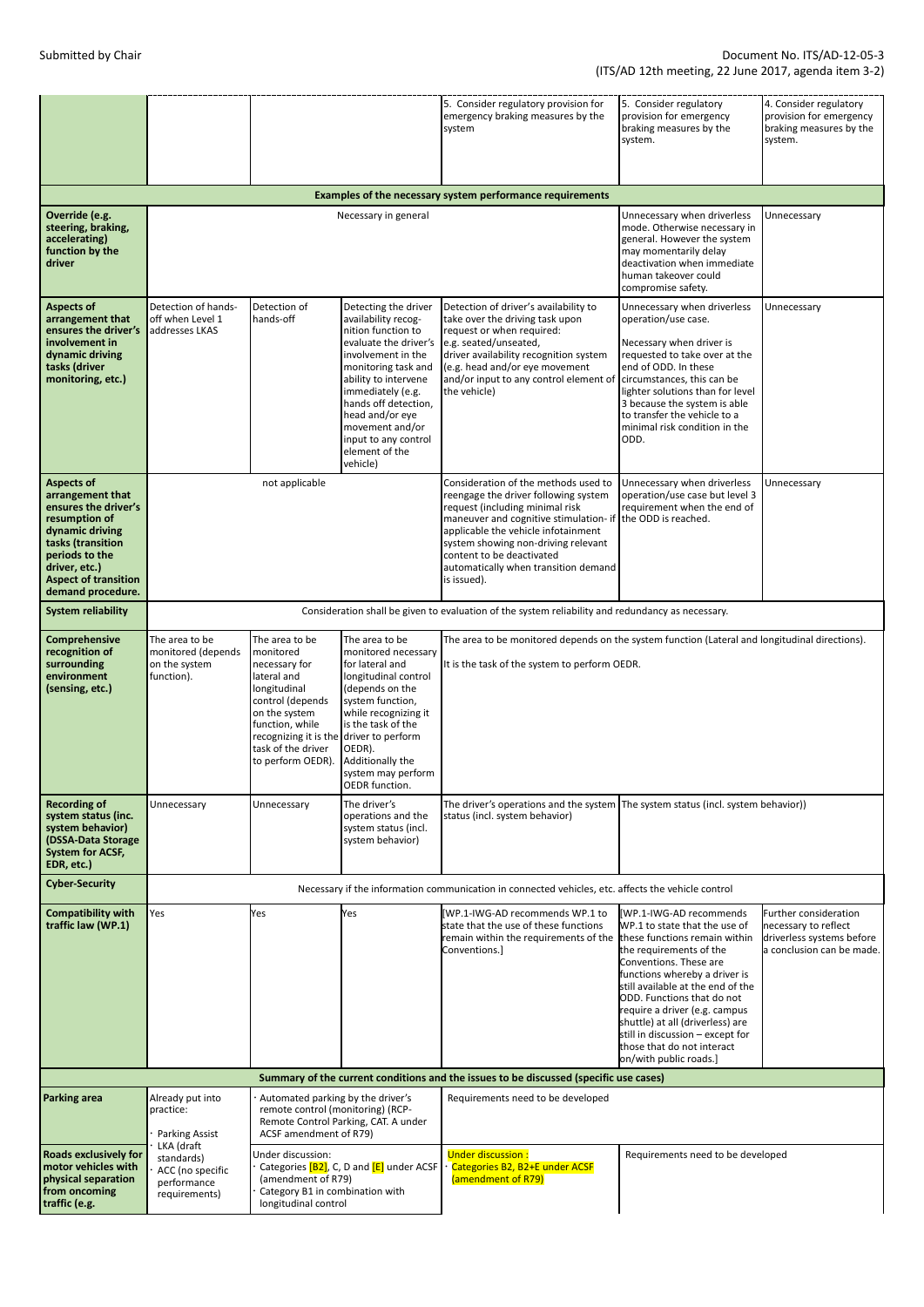|                                                                                                                                                                                                               |                                                                                                                                                                                                                                                                                                                                                                                                                                                                                                                                                                                                                                                                                                    |                                                                                                   |                                                                                                                                                                                                                                                                                                          | 5. Consider regulatory provision for<br>emergency braking measures by the<br>system                                                                                                                                                                                                                                                             | 5. Consider regulatory<br>provision for emergency<br>braking measures by the<br>system.                                                                                                                                                                                                                            | 4. Consider regulatory<br>provision for emergency<br>braking measures by the<br>system.                 |  |  |
|---------------------------------------------------------------------------------------------------------------------------------------------------------------------------------------------------------------|----------------------------------------------------------------------------------------------------------------------------------------------------------------------------------------------------------------------------------------------------------------------------------------------------------------------------------------------------------------------------------------------------------------------------------------------------------------------------------------------------------------------------------------------------------------------------------------------------------------------------------------------------------------------------------------------------|---------------------------------------------------------------------------------------------------|----------------------------------------------------------------------------------------------------------------------------------------------------------------------------------------------------------------------------------------------------------------------------------------------------------|-------------------------------------------------------------------------------------------------------------------------------------------------------------------------------------------------------------------------------------------------------------------------------------------------------------------------------------------------|--------------------------------------------------------------------------------------------------------------------------------------------------------------------------------------------------------------------------------------------------------------------------------------------------------------------|---------------------------------------------------------------------------------------------------------|--|--|
|                                                                                                                                                                                                               |                                                                                                                                                                                                                                                                                                                                                                                                                                                                                                                                                                                                                                                                                                    |                                                                                                   |                                                                                                                                                                                                                                                                                                          | Examples of the necessary system performance requirements                                                                                                                                                                                                                                                                                       |                                                                                                                                                                                                                                                                                                                    |                                                                                                         |  |  |
| Override (e.g.<br>steering, braking,<br>accelerating)<br>function by the<br>driver                                                                                                                            | Necessary in general                                                                                                                                                                                                                                                                                                                                                                                                                                                                                                                                                                                                                                                                               |                                                                                                   |                                                                                                                                                                                                                                                                                                          |                                                                                                                                                                                                                                                                                                                                                 | Unnecessary when driverless<br>mode. Otherwise necessary in<br>general. However the system<br>may momentarily delay<br>deactivation when immediate<br>human takeover could<br>compromise safety.                                                                                                                   | Unnecessary                                                                                             |  |  |
| <b>Aspects of</b><br>arrangement that<br>ensures the driver's<br>involvement in<br>dynamic driving<br>tasks (driver<br>monitoring, etc.)                                                                      | Detection of hands-<br>off when Level 1<br>addresses LKAS                                                                                                                                                                                                                                                                                                                                                                                                                                                                                                                                                                                                                                          | Detection of<br>hands-off                                                                         | Detecting the driver<br>availability recog-<br>nition function to<br>evaluate the driver's<br>involvement in the<br>monitoring task and<br>ability to intervene<br>immediately (e.g.<br>hands off detection,<br>head and/or eye<br>movement and/or<br>input to any control<br>element of the<br>vehicle) | Detection of driver's availability to<br>take over the driving task upon<br>request or when required:<br>e.g. seated/unseated,<br>driver availability recognition system<br>(e.g. head and/or eye movement<br>and/or input to any control element of<br>the vehicle)                                                                            | Unnecessary when driverless<br>operation/use case.<br>Necessary when driver is<br>requested to take over at the<br>end of ODD. In these<br>circumstances, this can be<br>lighter solutions than for level<br>3 because the system is able<br>to transfer the vehicle to a<br>minimal risk condition in the<br>ODD. | Unnecessary                                                                                             |  |  |
| <b>Aspects of</b><br>arrangement that<br>ensures the driver's<br>resumption of<br>dynamic driving<br>tasks (transition<br>periods to the<br>driver, etc.)<br><b>Aspect of transition</b><br>demand procedure. | not applicable                                                                                                                                                                                                                                                                                                                                                                                                                                                                                                                                                                                                                                                                                     |                                                                                                   |                                                                                                                                                                                                                                                                                                          | Consideration of the methods used to<br>reengage the driver following system<br>request (including minimal risk<br>maneuver and cognitive stimulation- if the ODD is reached.<br>applicable the vehicle infotainment<br>system showing non-driving relevant<br>content to be deactivated<br>automatically when transition demand<br>is issued). | Unnecessary when driverless<br>operation/use case but level 3<br>requirement when the end of                                                                                                                                                                                                                       | Unnecessary                                                                                             |  |  |
| <b>System reliability</b>                                                                                                                                                                                     |                                                                                                                                                                                                                                                                                                                                                                                                                                                                                                                                                                                                                                                                                                    | Consideration shall be given to evaluation of the system reliability and redundancy as necessary. |                                                                                                                                                                                                                                                                                                          |                                                                                                                                                                                                                                                                                                                                                 |                                                                                                                                                                                                                                                                                                                    |                                                                                                         |  |  |
| <b>Comprehensive</b><br>recognition of<br>surrounding<br>environment<br>(sensing, etc.)                                                                                                                       | The area to be<br>The area to be<br>The area to be monitored depends on the system function (Lateral and longitudinal directions).<br>The area to be<br>monitored (depends<br>monitored<br>monitored necessary<br>It is the task of the system to perform OEDR.<br>on the system<br>for lateral and<br>necessary for<br>function).<br>lateral and<br>longitudinal control<br>(depends on the<br>longitudinal<br>system function,<br>control (depends<br>while recognizing it<br>on the system<br>is the task of the<br>function, while<br>recognizing it is the driver to perform<br>task of the driver<br>OEDR).<br>Additionally the<br>to perform OEDR).<br>system may perform<br>OEDR function. |                                                                                                   |                                                                                                                                                                                                                                                                                                          |                                                                                                                                                                                                                                                                                                                                                 |                                                                                                                                                                                                                                                                                                                    |                                                                                                         |  |  |
| <b>Recording of</b><br>system status (inc.<br>system behavior)<br>(DSSA-Data Storage<br><b>System for ACSF,</b><br>EDR, etc.)                                                                                 | Unnecessary                                                                                                                                                                                                                                                                                                                                                                                                                                                                                                                                                                                                                                                                                        | Unnecessary                                                                                       | The driver's<br>operations and the<br>system status (incl.<br>system behavior)                                                                                                                                                                                                                           | status (incl. system behavior)                                                                                                                                                                                                                                                                                                                  | The driver's operations and the system The system status (incl. system behavior))                                                                                                                                                                                                                                  |                                                                                                         |  |  |
| <b>Cyber-Security</b>                                                                                                                                                                                         | Necessary if the information communication in connected vehicles, etc. affects the vehicle control                                                                                                                                                                                                                                                                                                                                                                                                                                                                                                                                                                                                 |                                                                                                   |                                                                                                                                                                                                                                                                                                          |                                                                                                                                                                                                                                                                                                                                                 |                                                                                                                                                                                                                                                                                                                    |                                                                                                         |  |  |
| <b>Compatibility with</b><br>traffic law (WP.1)                                                                                                                                                               | Yes                                                                                                                                                                                                                                                                                                                                                                                                                                                                                                                                                                                                                                                                                                | Yes                                                                                               | Yes                                                                                                                                                                                                                                                                                                      | [WP.1-IWG-AD recommends WP.1 to<br>state that the use of these functions<br>remain within the requirements of the these functions remain within<br>Conventions.]                                                                                                                                                                                | [WP.1-IWG-AD recommends<br>WP.1 to state that the use of<br>the requirements of the<br>Conventions. These are<br>functions whereby a driver is<br>still available at the end of the                                                                                                                                | Further consideration<br>necessary to reflect<br>driverless systems before<br>a conclusion can be made. |  |  |

|                                                                                                              |                                                                              |                                                                                                                                                     |  |                                                                           | functions whereby a driver is<br>still available at the end of the<br><b>ODD.</b> Functions that do not<br>require a driver (e.g. campus<br>shuttle) at all (driverless) are<br>still in discussion - except for<br>those that do not interact<br>on/with public roads.] |  |  |
|--------------------------------------------------------------------------------------------------------------|------------------------------------------------------------------------------|-----------------------------------------------------------------------------------------------------------------------------------------------------|--|---------------------------------------------------------------------------|--------------------------------------------------------------------------------------------------------------------------------------------------------------------------------------------------------------------------------------------------------------------------|--|--|
| Summary of the current conditions and the issues to be discussed (specific use cases)                        |                                                                              |                                                                                                                                                     |  |                                                                           |                                                                                                                                                                                                                                                                          |  |  |
| <b>Parking area</b>                                                                                          | Already put into<br>practice:<br>Parking Assist                              | Automated parking by the driver's<br>remote control (monitoring) (RCP-<br>Remote Control Parking, CAT. A under<br>ACSF amendment of R79)            |  | Requirements need to be developed                                         |                                                                                                                                                                                                                                                                          |  |  |
| <b>Roads exclusively for</b><br>motor vehicles with<br>physical separation<br>from oncoming<br>traffic (e.g. | LKA (draft<br>standards)<br>ACC (no specific<br>performance<br>requirements) | Under discussion:<br>Categories $[B2]$ , C, D and $[E]$ under ACSF<br>(amendment of R79)<br>Category B1 in combination with<br>longitudinal control |  | Under discussion:<br>Categories B2, B2+E under ACSF<br>(amendment of R79) | Requirements need to be developed                                                                                                                                                                                                                                        |  |  |